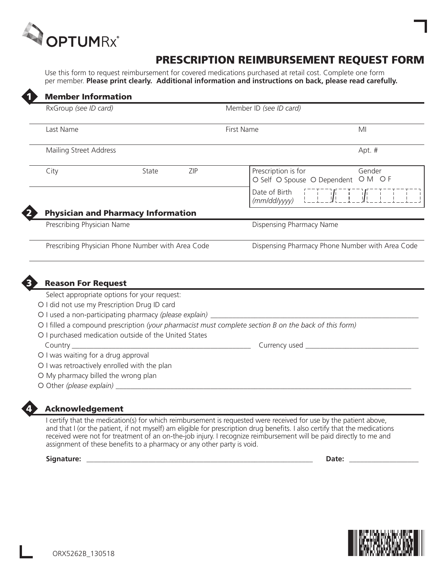

## Prescription Reimbursement Request Form

Use this form to request reimbursement for covered medications purchased at retail cost. Complete one form per member. **Please print clearly. Additional information and instructions on back, please read carefully.**

|                 | RxGroup (see ID card)                                                           |       |     | Member ID (see ID card)                                                                               |                                                                          |
|-----------------|---------------------------------------------------------------------------------|-------|-----|-------------------------------------------------------------------------------------------------------|--------------------------------------------------------------------------|
|                 |                                                                                 |       |     |                                                                                                       |                                                                          |
| Last Name       |                                                                                 |       |     | <b>First Name</b>                                                                                     | MI                                                                       |
|                 | Mailing Street Address                                                          |       |     |                                                                                                       | Apt. #                                                                   |
| City            |                                                                                 | State | ZIP | Prescription is for                                                                                   | Gender<br>O Self O Spouse O Dependent O M O F                            |
|                 |                                                                                 |       |     | Date of Birth<br>(mm/dd/yyyy)                                                                         | $\begin{bmatrix} -1 & -1 & -1 \\ 1 & 1 & 1 \\ -1 & 1 & -1 \end{bmatrix}$ |
|                 | <b>Physician and Pharmacy Information</b>                                       |       |     |                                                                                                       |                                                                          |
|                 | Prescribing Physician Name                                                      |       |     | Dispensing Pharmacy Name                                                                              |                                                                          |
|                 |                                                                                 |       |     |                                                                                                       |                                                                          |
|                 | Prescribing Physician Phone Number with Area Code                               |       |     |                                                                                                       |                                                                          |
|                 |                                                                                 |       |     |                                                                                                       |                                                                          |
|                 | <b>Reason For Request</b>                                                       |       |     |                                                                                                       |                                                                          |
|                 | Select appropriate options for your request:                                    |       |     |                                                                                                       |                                                                          |
|                 | O I did not use my Prescription Drug ID card                                    |       |     |                                                                                                       |                                                                          |
|                 | O I used a non-participating pharmacy (please explain) _________                |       |     |                                                                                                       |                                                                          |
|                 |                                                                                 |       |     | O I filled a compound prescription (your pharmacist must complete section B on the back of this form) |                                                                          |
|                 | O I purchased medication outside of the United States                           |       |     |                                                                                                       |                                                                          |
| Country _______ |                                                                                 |       |     | Currency used _____________                                                                           |                                                                          |
|                 | O I was waiting for a drug approval                                             |       |     |                                                                                                       |                                                                          |
|                 | O I was retroactively enrolled with the plan                                    |       |     |                                                                                                       | Dispensing Pharmacy Phone Number with Area Code                          |
|                 | O My pharmacy billed the wrong plan<br>O Other (please explain) _______________ |       |     |                                                                                                       |                                                                          |

I certify that the medication(s) for which reimbursement is requested were received for use by the patient above, and that I (or the patient, if not myself) am eligible for prescription drug benefits. I also certify that the medications received were not for treatment of an on-the-job injury. I recognize reimbursement will be paid directly to me and assignment of these benefits to a pharmacy or any other party is void.

**Signature: \_\_\_\_\_\_\_\_\_\_\_\_\_\_\_\_\_\_\_\_\_\_\_\_\_\_\_\_\_\_\_\_\_\_\_\_\_\_\_\_\_\_\_\_\_\_\_\_\_\_\_\_\_\_\_\_\_\_\_\_\_\_ Date: \_\_\_\_\_\_\_\_\_\_\_\_\_\_\_\_\_\_\_**